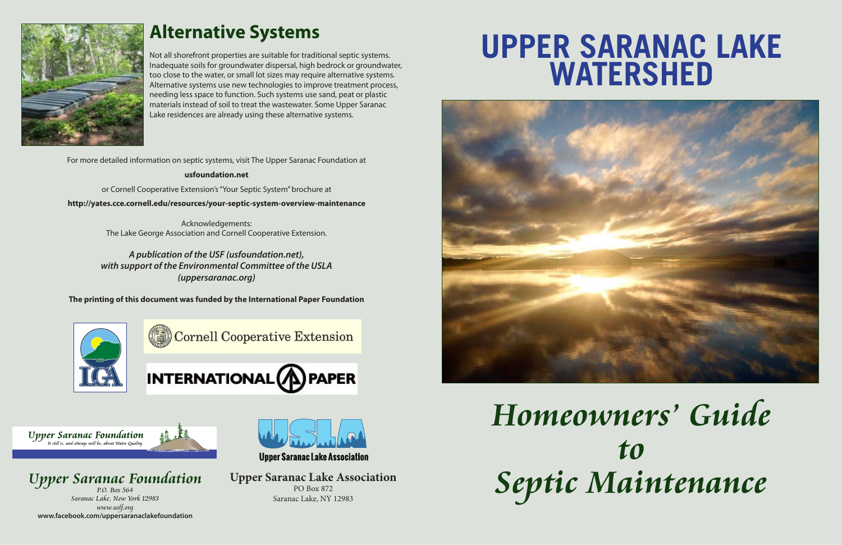*Homeowners' Guide to Septic Maintenance*

For more detailed information on septic systems, visit The Upper Saranac Foundation at

**usfoundation.net**

or Cornell Cooperative Extension's "Your Septic System" brochure at

**http://yates.cce.cornell.edu/resources/your-septic-system-overview-maintenance**

Acknowledgements: The Lake George Association and Cornell Cooperative Extension.

*Upper Saranac Foundation Saranac Lake, New York 12983 www.uslf.org* **www.facebook.com/uppersaranaclakefoundation**



**Upper Saranac Lake Association** 

*A publication of the USF (usfoundation.net), with support of the Environmental Committee of the USLA (uppersaranac.org)*

**The printing of this document was funded by the International Paper Foundation**



Cornell Cooperative Extension



**Upper Saranac Foundation** It still is, and always will be, about Water Quality





## **Alternative Systems**

Not all shorefront properties are suitable for traditional septic systems. Inadequate soils for groundwater dispersal, high bedrock or groundwater, too close to the water, or small lot sizes may require alternative systems. Alternative systems use new technologies to improve treatment process, needing less space to function. Such systems use sand, peat or plastic materials instead of soil to treat the wastewater. Some Upper Saranac Lake residences are already using these alternative systems.

# **UPPER SARANAC LAKE WATERSHED**



**Upper Saranac Lake Association** PO Box 872 Saranac Lake, NY 12983